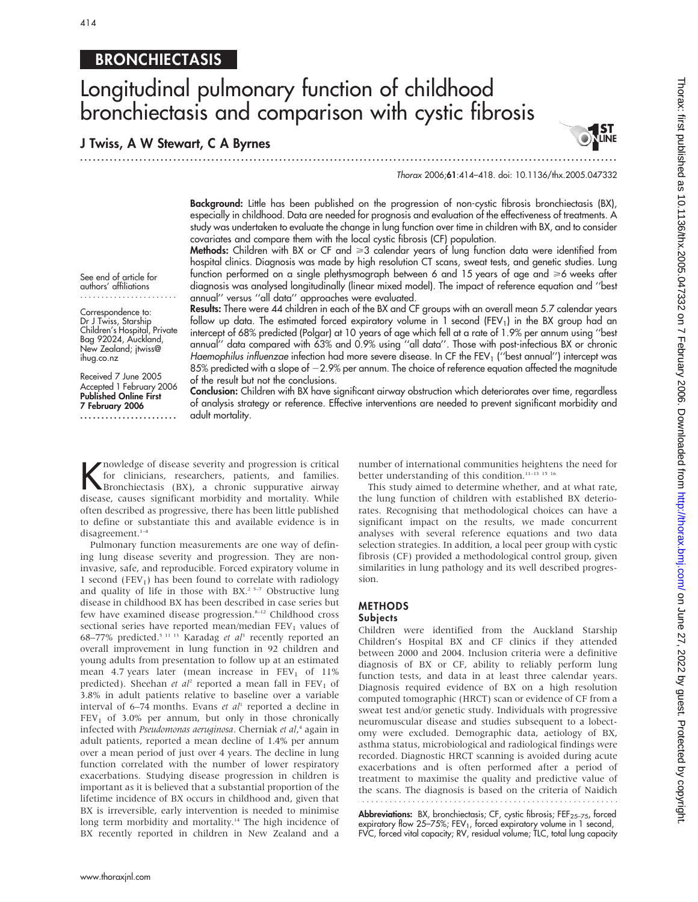# BRONCHIECTASIS

# Longitudinal pulmonary function of childhood bronchiectasis and comparison with cystic fibrosis

.............................................................................................................................. .

J Twiss, A W Stewart, C A Byrnes

LINE

Thorax 2006;61:414–418. doi: 10.1136/thx.2005.047332

Background: Little has been published on the progression of non-cystic fibrosis bronchiectasis (BX), especially in childhood. Data are needed for prognosis and evaluation of the effectiveness of treatments. A study was undertaken to evaluate the change in lung function over time in children with BX, and to consider covariates and compare them with the local cystic fibrosis (CF) population.

Methods: Children with BX or CF and  $\geq 3$  calendar years of lung function data were identified from hospital clinics. Diagnosis was made by high resolution CT scans, sweat tests, and genetic studies. Lung function performed on a single plethysmograph between 6 and 15 years of age and ≥6 weeks after diagnosis was analysed longitudinally (linear mixed model). The impact of reference equation and ''best annual'' versus ''all data'' approaches were evaluated.

See end of article for authors' affiliations .......................

Correspondence to: Dr J Twiss, Starship Children's Hospital, Private Bag 92024, Auckland, New Zealand; jtwiss@ ihug.co.nz

Received 7 June 2005 Accepted 1 February 2006 Published Online First 7 February 2006 .......................

Results: There were 44 children in each of the BX and CF groups with an overall mean 5.7 calendar years follow up data. The estimated forced expiratory volume in 1 second (FEV<sub>1</sub>) in the BX group had an intercept of 68% predicted (Polgar) at 10 years of age which fell at a rate of 1.9% per annum using ''best annual'' data compared with 63% and 0.9% using ''all data''. Those with post-infectious BX or chronic Haemophilus influenzae infection had more severe disease. In CF the FEV $_1$  (''best annual'') intercept was  $85\%$  predicted with a slope of  $-2.9\%$  per annum. The choice of reference equation affected the magnitude of the result but not the conclusions.

Conclusion: Children with BX have significant airway obstruction which deteriorates over time, regardless of analysis strategy or reference. Effective interventions are needed to prevent significant morbidity and adult mortality.

Knowledge of disease severity and progression is critical<br>for clinicians, researchers, patients, and families.<br>Bronchiectasis (BX), a chronic suppurative airway for clinicians, researchers, patients, and families. Bronchiectasis (BX), a chronic suppurative airway disease, causes significant morbidity and mortality. While often described as progressive, there has been little published to define or substantiate this and available evidence is in disagreement.<sup>1-4</sup>

Pulmonary function measurements are one way of defining lung disease severity and progression. They are noninvasive, safe, and reproducible. Forced expiratory volume in 1 second (FEV<sub>1</sub>) has been found to correlate with radiology and quality of life in those with  $BX<sup>2,5-7</sup>$  Obstructive lung disease in childhood BX has been described in case series but few have examined disease progression.<sup>8-12</sup> Childhood cross sectional series have reported mean/median  $FEV<sub>1</sub>$  values of 68–77% predicted.<sup>5 11-13</sup> Karadag et al<sup>3</sup> recently reported an overall improvement in lung function in 92 children and young adults from presentation to follow up at an estimated mean 4.7 years later (mean increase in  $FEV<sub>1</sub>$  of  $11\%$ predicted). Sheehan et  $al^2$  reported a mean fall in  $FEV_1$  of 3.8% in adult patients relative to baseline over a variable interval of  $6-74$  months. Evans et  $al<sup>1</sup>$  reported a decline in  $FEV<sub>1</sub>$  of 3.0% per annum, but only in those chronically infected with Pseudomonas aeruginosa. Cherniak et al,<sup>4</sup> again in adult patients, reported a mean decline of 1.4% per annum over a mean period of just over 4 years. The decline in lung function correlated with the number of lower respiratory exacerbations. Studying disease progression in children is important as it is believed that a substantial proportion of the lifetime incidence of BX occurs in childhood and, given that BX is irreversible, early intervention is needed to minimise long term morbidity and mortality.<sup>14</sup> The high incidence of BX recently reported in children in New Zealand and a

number of international communities heightens the need for better understanding of this condition.<sup>11-13</sup> <sup>15</sup> <sup>16</sup>

This study aimed to determine whether, and at what rate, the lung function of children with established BX deteriorates. Recognising that methodological choices can have a significant impact on the results, we made concurrent analyses with several reference equations and two data selection strategies. In addition, a local peer group with cystic fibrosis (CF) provided a methodological control group, given similarities in lung pathology and its well described progression.

### METHODS

#### Subjects

Children were identified from the Auckland Starship Children's Hospital BX and CF clinics if they attended between 2000 and 2004. Inclusion criteria were a definitive diagnosis of BX or CF, ability to reliably perform lung function tests, and data in at least three calendar years. Diagnosis required evidence of BX on a high resolution computed tomographic (HRCT) scan or evidence of CF from a sweat test and/or genetic study. Individuals with progressive neuromuscular disease and studies subsequent to a lobectomy were excluded. Demographic data, aetiology of BX, asthma status, microbiological and radiological findings were recorded. Diagnostic HRCT scanning is avoided during acute exacerbations and is often performed after a period of treatment to maximise the quality and predictive value of the scans. The diagnosis is based on the criteria of Naidich 

Abbreviations: BX, bronchiectasis; CF, cystic fibrosis; FEF<sub>25-75</sub>, forced expiratory flow 25–75%; FEV<sub>1</sub>, forced expiratory volume in 1 second,<br>FVC, forced vital capacity; RV, residual volume; TLC, total lung capacity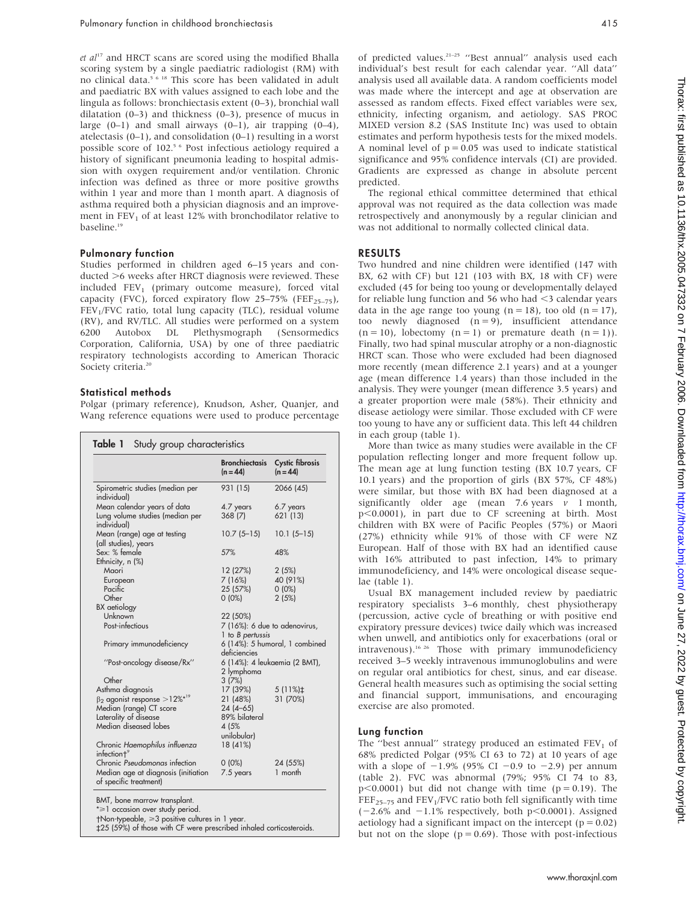et  $al^{17}$  and HRCT scans are scored using the modified Bhalla scoring system by a single paediatric radiologist (RM) with no clinical data.5 6 18 This score has been validated in adult and paediatric BX with values assigned to each lobe and the lingula as follows: bronchiectasis extent (0–3), bronchial wall dilatation (0–3) and thickness (0–3), presence of mucus in large  $(0-1)$  and small airways  $(0-1)$ , air trapping  $(0-4)$ , atelectasis (0–1), and consolidation (0–1) resulting in a worst possible score of 102.5 6 Post infectious aetiology required a history of significant pneumonia leading to hospital admission with oxygen requirement and/or ventilation. Chronic infection was defined as three or more positive growths within 1 year and more than 1 month apart. A diagnosis of asthma required both a physician diagnosis and an improvement in  $FEV<sub>1</sub>$  of at least 12% with bronchodilator relative to baseline.<sup>19</sup>

#### Pulmonary function

Studies performed in children aged 6–15 years and conducted >6 weeks after HRCT diagnosis were reviewed. These included  $FEV<sub>1</sub>$  (primary outcome measure), forced vital capacity (FVC), forced expiratory flow  $25-75\%$  (FEF<sub>25-75</sub>), FEV1/FVC ratio, total lung capacity (TLC), residual volume (RV), and RV/TLC. All studies were performed on a system 6200 Autobox DL Plethysmograph (Sensormedics Corporation, California, USA) by one of three paediatric respiratory technologists according to American Thoracic Society criteria.<sup>20</sup>

#### Statistical methods

Polgar (primary reference), Knudson, Asher, Quanjer, and Wang reference equations were used to produce percentage

|                                                                               | Bronchiectasis<br>$(n = 44)$                      | <b>Cystic fibrosis</b><br>$(n = 44)$   |
|-------------------------------------------------------------------------------|---------------------------------------------------|----------------------------------------|
| Spirometric studies (median per<br>individual)                                | 931 (15)                                          | 2066 (45)                              |
| Mean calendar years of data<br>Lung volume studies (median per<br>individual) | 4.7 years<br>368(7)                               | 6.7 years<br>621 (13)                  |
| Mean (range) age at testing<br>(all studies), years                           | $10.7(5-15)$                                      | $10.1(5-15)$                           |
| Sex: % female<br>Ethnicity, n (%)                                             | 57%                                               | 48%                                    |
| Maori<br>European<br>Pacific<br>Other                                         | 12 (27%)<br>7 (16%)<br>25 (57%)<br>$0(0\%)$       | 2(5%)<br>40 (91%)<br>$0(0\%)$<br>2(5%) |
| <b>BX</b> aetiology<br>Unknown                                                | 22 (50%)                                          |                                        |
| Post-infectious                                                               | 7 (16%): 6 due to adenovirus,<br>1 to B pertussis |                                        |
| Primary immunodeficiency                                                      | 6 (14%): 5 humoral, 1 combined<br>deficiencies    |                                        |
| "Post-oncology disease/Rx"                                                    | 2 lymphoma                                        | 6 (14%): 4 leukaemia (2 BMT),          |
| Other                                                                         | 3(7%)                                             |                                        |
| Asthma diagnosis                                                              | 17 (39%)                                          | $5(11\%)\pm$                           |
| $\beta_2$ agonist response $>12\%^{*19}$                                      | 21 (48%)                                          | 31 (70%)                               |
| Median (range) CT score                                                       | $24(4-65)$                                        |                                        |
| Laterality of disease                                                         | 89% bilateral                                     |                                        |
| Median diseased lobes                                                         | 4 (5%                                             |                                        |
| Chronic Haemophilus influenza<br>infection <sup>+</sup>                       | unilobular)<br>18 (41%)                           |                                        |
| Chronic Pseudomonas infection                                                 | $0(0\%)$                                          | 24 (55%)                               |
| Median age at diagnosis (initiation<br>of specific treatment)                 | 7.5 years                                         | 1 month                                |

`25 (59%) of those with CF were prescribed inhaled corticosteroids.

of predicted values.<sup>21-25</sup> "Best annual" analysis used each individual's best result for each calendar year. ''All data'' analysis used all available data. A random coefficients model was made where the intercept and age at observation are assessed as random effects. Fixed effect variables were sex, ethnicity, infecting organism, and aetiology. SAS PROC MIXED version 8.2 (SAS Institute Inc) was used to obtain estimates and perform hypothesis tests for the mixed models. A nominal level of  $p = 0.05$  was used to indicate statistical significance and 95% confidence intervals (CI) are provided. Gradients are expressed as change in absolute percent predicted.

The regional ethical committee determined that ethical approval was not required as the data collection was made retrospectively and anonymously by a regular clinician and was not additional to normally collected clinical data.

#### RESULTS

Two hundred and nine children were identified (147 with BX, 62 with CF) but 121 (103 with BX, 18 with CF) were excluded (45 for being too young or developmentally delayed for reliable lung function and 56 who had  $\leq$ 3 calendar years data in the age range too young  $(n = 18)$ , too old  $(n = 17)$ , too newly diagnosed  $(n = 9)$ , insufficient attendance  $(n = 10)$ , lobectomy  $(n = 1)$  or premature death  $(n = 1)$ ). Finally, two had spinal muscular atrophy or a non-diagnostic HRCT scan. Those who were excluded had been diagnosed more recently (mean difference 2.1 years) and at a younger age (mean difference 1.4 years) than those included in the analysis. They were younger (mean difference 3.5 years) and a greater proportion were male (58%). Their ethnicity and disease aetiology were similar. Those excluded with CF were too young to have any or sufficient data. This left 44 children in each group (table 1).

More than twice as many studies were available in the CF population reflecting longer and more frequent follow up. The mean age at lung function testing (BX 10.7 years, CF 10.1 years) and the proportion of girls (BX 57%, CF 48%) were similar, but those with BX had been diagnosed at a significantly older age (mean 7.6 years  $v$  1 month, p<0.0001), in part due to CF screening at birth. Most children with BX were of Pacific Peoples (57%) or Maori (27%) ethnicity while 91% of those with CF were NZ European. Half of those with BX had an identified cause with 16% attributed to past infection, 14% to primary immunodeficiency, and 14% were oncological disease sequelae (table 1).

Usual BX management included review by paediatric respiratory specialists 3–6 monthly, chest physiotherapy (percussion, active cycle of breathing or with positive end expiratory pressure devices) twice daily which was increased when unwell, and antibiotics only for exacerbations (oral or intravenous).<sup>16 26</sup> Those with primary immunodeficiency received 3–5 weekly intravenous immunoglobulins and were on regular oral antibiotics for chest, sinus, and ear disease. General health measures such as optimising the social setting and financial support, immunisations, and encouraging exercise are also promoted.

#### Lung function

The "best annual" strategy produced an estimated  $FEV<sub>1</sub>$  of 68% predicted Polgar (95% CI 63 to 72) at 10 years of age with a slope of  $-1.9\%$  (95% CI  $-0.9$  to  $-2.9$ ) per annum (table 2). FVC was abnormal (79%; 95% CI 74 to 83,  $p<0.0001$ ) but did not change with time ( $p = 0.19$ ). The  $FEF_{25-75}$  and  $FEV_1/FVC$  ratio both fell significantly with time  $(-2.6\%$  and  $-1.1\%$  respectively, both p $\leq 0.0001$ ). Assigned aetiology had a significant impact on the intercept ( $p = 0.02$ ) but not on the slope ( $p = 0.69$ ). Those with post-infectious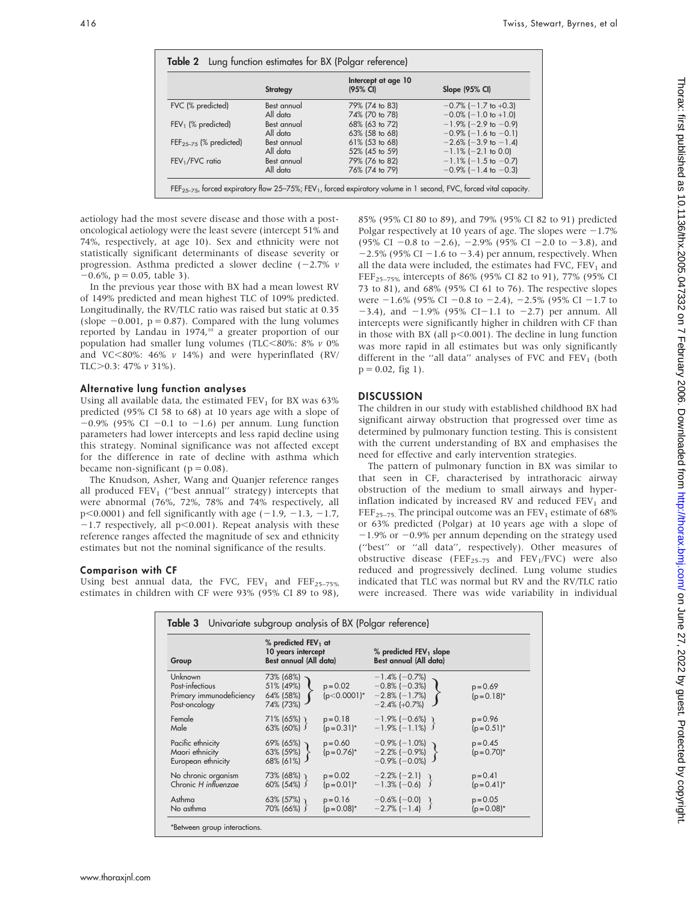|                             | <b>Strategy</b> | Intercept at age 10<br>$(95%$ CI) | Slope (95% CI)                |
|-----------------------------|-----------------|-----------------------------------|-------------------------------|
| FVC (% predicted)           | Best annual     | 79% (74 to 83)                    | $-0.7\%$ ( $-1.7$ to $+0.3$ ) |
|                             | All data        | 74% (70 to 78)                    | $-0.0\%$ ( $-1.0$ to $+1.0$ ) |
| $FEV1$ (% predicted)        | Best annual     | 68% (63 to 72)                    | $-1.9\%$ (-2.9 to -0.9)       |
|                             | All data        | 63% (58 to 68)                    | $-0.9\%$ (-1.6 to $-0.1$ )    |
| $FEF_{25-75}$ (% predicted) | Best annual     | $61\%$ (53 to 68)                 | $-2.6\%$ ( $-3.9$ to $-1.4$ ) |
|                             | All data        | 52% (45 to 59)                    | $-1.1\%$ (-2.1 to 0.0)        |
| FEV <sub>1</sub> /FVC ratio | Best annual     | 79% (76 to 82)                    | $-1.1\%$ (-1.5 to -0.7)       |
|                             | All data        | 76% (74 to 79)                    | $-0.9\%$ (-1.4 to $-0.3$ )    |

aetiology had the most severe disease and those with a postoncological aetiology were the least severe (intercept 51% and 74%, respectively, at age 10). Sex and ethnicity were not statistically significant determinants of disease severity or progression. Asthma predicted a slower decline  $(-2.7\%$  v  $-0.6\%$ , p = 0.05, table 3).

In the previous year those with BX had a mean lowest RV of 149% predicted and mean highest TLC of 109% predicted. Longitudinally, the RV/TLC ratio was raised but static at 0.35 (slope  $-0.001$ , p = 0.87). Compared with the lung volumes reported by Landau in 1974,<sup>10</sup> a greater proportion of our population had smaller lung volumes (TLC<80%: 8%  $v$  0% and VC $\leq$ 80%: 46% v 14%) and were hyperinflated (RV/ TLC $>0.3$ : 47%  $\nu$  31%).

#### Alternative lung function analyses

Using all available data, the estimated  $FEV<sub>1</sub>$  for BX was 63% predicted (95% CI 58 to 68) at 10 years age with a slope of  $-0.9\%$  (95% CI  $-0.1$  to  $-1.6$ ) per annum. Lung function parameters had lower intercepts and less rapid decline using this strategy. Nominal significance was not affected except for the difference in rate of decline with asthma which became non-significant ( $p = 0.08$ ).

The Knudson, Asher, Wang and Quanjer reference ranges all produced  $FEV<sub>1</sub>$  ("best annual" strategy) intercepts that were abnormal (76%, 72%, 78% and 74% respectively, all  $p$ <0.0001) and fell significantly with age (-1.9, -1.3, -1.7,  $-1.7$  respectively, all p $< 0.001$ ). Repeat analysis with these reference ranges affected the magnitude of sex and ethnicity estimates but not the nominal significance of the results.

#### Comparison with CF

Using best annual data, the FVC,  $FEV_1$  and  $FEF_{25-75\%}$ estimates in children with CF were 93% (95% CI 89 to 98), 85% (95% CI 80 to 89), and 79% (95% CI 82 to 91) predicted Polgar respectively at 10 years of age. The slopes were  $-1.7\%$ (95% CI -0.8 to -2.6), -2.9% (95% CI -2.0 to -3.8), and  $-2.5\%$  (95% CI  $-1.6$  to  $-3.4$ ) per annum, respectively. When all the data were included, the estimates had FVC,  $FEV<sub>1</sub>$  and FEF25–75% intercepts of 86% (95% CI 82 to 91), 77% (95% CI 73 to 81), and 68% (95% CI 61 to 76). The respective slopes were  $-1.6\%$  (95% CI  $-0.8$  to  $-2.4$ ),  $-2.5\%$  (95% CI  $-1.7$  to  $-3.4$ ), and  $-1.9\%$  (95% CI-1.1 to  $-2.7$ ) per annum. All intercepts were significantly higher in children with CF than in those with BX (all  $p<0.001$ ). The decline in lung function was more rapid in all estimates but was only significantly different in the "all data" analyses of FVC and  $FEV<sub>1</sub>$  (both  $p = 0.02$ , fig 1).

#### **DISCUSSION**

The children in our study with established childhood BX had significant airway obstruction that progressed over time as determined by pulmonary function testing. This is consistent with the current understanding of BX and emphasises the need for effective and early intervention strategies.

The pattern of pulmonary function in BX was similar to that seen in CF, characterised by intrathoracic airway obstruction of the medium to small airways and hyperinflation indicated by increased RV and reduced  $FEV<sub>1</sub>$  and  $FEF_{25-75}$ . The principal outcome was an  $FEV_1$  estimate of 68% or 63% predicted (Polgar) at 10 years age with a slope of  $-1.9\%$  or  $-0.9\%$  per annum depending on the strategy used (''best'' or ''all data'', respectively). Other measures of obstructive disease (FEF<sub>25-75</sub> and FEV<sub>1</sub>/FVC) were also reduced and progressively declined. Lung volume studies indicated that TLC was normal but RV and the RV/TLC ratio were increased. There was wide variability in individual

| Group                                                                   | $%$ predicted FEV <sub>1</sub> at<br>10 years intercept<br>Best annual (All data) |                              | $%$ predicted FEV <sub>1</sub> slope<br>Best annual (All data)                         |                            |
|-------------------------------------------------------------------------|-----------------------------------------------------------------------------------|------------------------------|----------------------------------------------------------------------------------------|----------------------------|
| Unknown<br>Post-infectious<br>Primary immunodeficiency<br>Post-oncology | 73% (68%)<br>51% (49%)<br>64% (58%)<br>74% (73%)                                  | $p = 0.02$<br>$(p<0.0001)^*$ | $-1.4\%$ (-0.7%)<br>$-0.8\%$ ( $-0.3\%$ )<br>$-2.8\%$ ( $-1.7\%$ )<br>$-2.4\%$ (+0.7%) | $p = 0.69$<br>$(p=0.18)^*$ |
| Female                                                                  | $71\%$ (65%) $\gamma$                                                             | $p = 0.18$                   | $-1.9\%$ (-0.6%)<br>-1.9% (-1.1%) }                                                    | $p = 0.96$                 |
| Male                                                                    | 63% (60%) $\sqrt{ }$                                                              | $(p=0.31)^{*}$               |                                                                                        | $(p=0.51)^*$               |
| Pacific ethnicity<br>Maori ethnicity<br>European ethnicity              | $69\%$ (65%) $\sim$<br>$63\%$ (59%) $\{$<br>68% (61%) -                           | $p = 0.60$<br>$(p=0.76)^*$   | $-0.9\%$ ( $-1.0\%$ )<br>$-2.2\%$ (-0.9%)<br>$-0.9\%$ ( $-0.0\%$ )                     | $p = 0.45$<br>$(p=0.70)^*$ |
| No chronic organism                                                     | $73\%$ (68%) $\gamma$                                                             | $p = 0.02$                   | $-2.2\%(-2.1)$                                                                         | $p = 0.41$                 |
| Chronic H influenzae                                                    | 60% (54%) $\sqrt{ }$                                                              | $(p=0.01)^*$                 | $-1.3\%$ (-0.6)                                                                        | $(p=0.41)^*$               |
| Asthma                                                                  | 63% (57%) $\sqrt{ }$                                                              | $p = 0.16$                   | $-0.6\%$ (-0.0)<br>-2.7% (-1.4)                                                        | $p = 0.05$                 |
| No asthma                                                               | $70\%$ (66%) $\hat{J}$                                                            | $(p=0.08)^*$                 |                                                                                        | $(p=0.08)^*$               |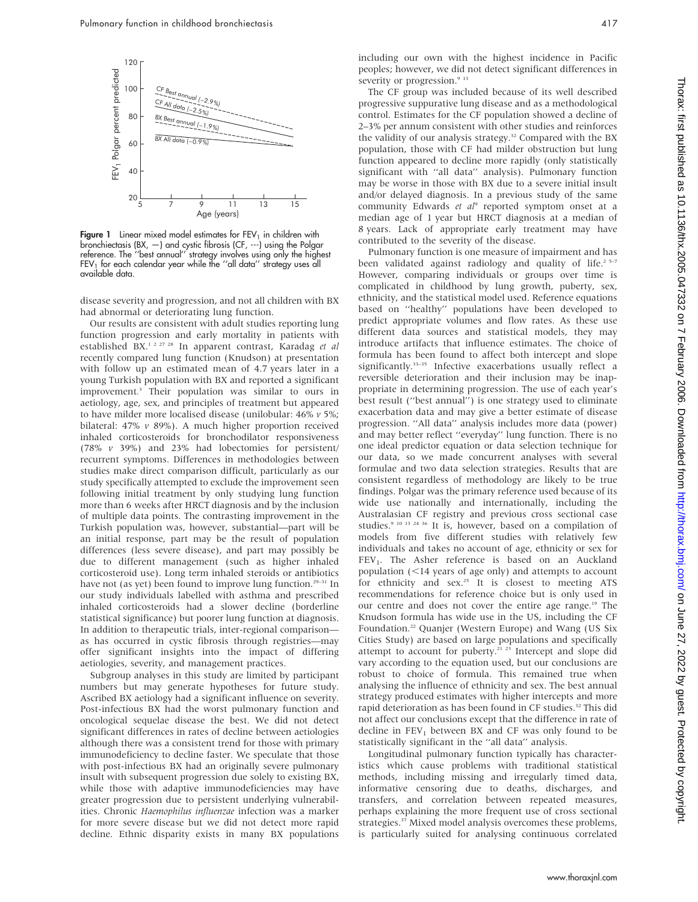

**Figure 1** Linear mixed model estimates for  $FEV<sub>1</sub>$  in children with bronchiectasis (BX, —) and cystic fibrosis (CF, ---) using the Polgar reference. The ''best annual'' strategy involves using only the highest FEV<sub>1</sub> for each calendar year while the "all data" strategy uses all available data.

disease severity and progression, and not all children with BX had abnormal or deteriorating lung function.

Our results are consistent with adult studies reporting lung function progression and early mortality in patients with established BX.<sup>1 2 27</sup> <sup>28</sup> In apparent contrast, Karadag et al recently compared lung function (Knudson) at presentation with follow up an estimated mean of 4.7 years later in a young Turkish population with BX and reported a significant improvement. <sup>3</sup> Their population was similar to ours in aetiology, age, sex, and principles of treatment but appeared to have milder more localised disease (unilobular: 46% v 5%; bilateral: 47% v 89%). A much higher proportion received inhaled corticosteroids for bronchodilator responsiveness (78% v 39%) and 23% had lobectomies for persistent/ recurrent symptoms. Differences in methodologies between studies make direct comparison difficult, particularly as our study specifically attempted to exclude the improvement seen following initial treatment by only studying lung function more than 6 weeks after HRCT diagnosis and by the inclusion of multiple data points. The contrasting improvement in the Turkish population was, however, substantial—part will be an initial response, part may be the result of population differences (less severe disease), and part may possibly be due to different management (such as higher inhaled corticosteroid use). Long term inhaled steroids or antibiotics have not (as yet) been found to improve lung function.<sup>29-31</sup> In our study individuals labelled with asthma and prescribed inhaled corticosteroids had a slower decline (borderline statistical significance) but poorer lung function at diagnosis. In addition to therapeutic trials, inter-regional comparison as has occurred in cystic fibrosis through registries—may offer significant insights into the impact of differing aetiologies, severity, and management practices.

Subgroup analyses in this study are limited by participant numbers but may generate hypotheses for future study. Ascribed BX aetiology had a significant influence on severity. Post-infectious BX had the worst pulmonary function and oncological sequelae disease the best. We did not detect significant differences in rates of decline between aetiologies although there was a consistent trend for those with primary immunodeficiency to decline faster. We speculate that those with post-infectious BX had an originally severe pulmonary insult with subsequent progression due solely to existing BX, while those with adaptive immunodeficiencies may have greater progression due to persistent underlying vulnerabilities. Chronic Haemophilus influenzae infection was a marker for more severe disease but we did not detect more rapid decline. Ethnic disparity exists in many BX populations

including our own with the highest incidence in Pacific peoples; however, we did not detect significant differences in severity or progression.<sup>9</sup> <sup>13</sup>

The CF group was included because of its well described progressive suppurative lung disease and as a methodological control. Estimates for the CF population showed a decline of 2–3% per annum consistent with other studies and reinforces the validity of our analysis strategy.<sup>32</sup> Compared with the BX population, those with CF had milder obstruction but lung function appeared to decline more rapidly (only statistically significant with ''all data'' analysis). Pulmonary function may be worse in those with BX due to a severe initial insult and/or delayed diagnosis. In a previous study of the same community Edwards et al<sup>9</sup> reported symptom onset at a median age of 1 year but HRCT diagnosis at a median of 8 years. Lack of appropriate early treatment may have contributed to the severity of the disease.

Pulmonary function is one measure of impairment and has been validated against radiology and quality of life.<sup>2 5-7</sup> However, comparing individuals or groups over time is complicated in childhood by lung growth, puberty, sex, ethnicity, and the statistical model used. Reference equations based on ''healthy'' populations have been developed to predict appropriate volumes and flow rates. As these use different data sources and statistical models, they may introduce artifacts that influence estimates. The choice of formula has been found to affect both intercept and slope significantly.<sup>33-35</sup> Infective exacerbations usually reflect a reversible deterioration and their inclusion may be inappropriate in determining progression. The use of each year's best result (''best annual'') is one strategy used to eliminate exacerbation data and may give a better estimate of disease progression. ''All data'' analysis includes more data (power) and may better reflect ''everyday'' lung function. There is no one ideal predictor equation or data selection technique for our data, so we made concurrent analyses with several formulae and two data selection strategies. Results that are consistent regardless of methodology are likely to be true findings. Polgar was the primary reference used because of its wide use nationally and internationally, including the Australasian CF registry and previous cross sectional case studies.<sup>9 10 13 24 36</sup> It is, however, based on a compilation of models from five different studies with relatively few individuals and takes no account of age, ethnicity or sex for FEV<sub>1</sub>. The Asher reference is based on an Auckland population  $(<14$  years of age only) and attempts to account for ethnicity and sex.<sup>25</sup> It is closest to meeting ATS recommendations for reference choice but is only used in our centre and does not cover the entire age range.19 The Knudson formula has wide use in the US, including the CF Foundation.22 Quanjer (Western Europe) and Wang (US Six Cities Study) are based on large populations and specifically attempt to account for puberty.<sup>21</sup> <sup>23</sup> Intercept and slope did vary according to the equation used, but our conclusions are robust to choice of formula. This remained true when analysing the influence of ethnicity and sex. The best annual strategy produced estimates with higher intercepts and more rapid deterioration as has been found in CF studies.<sup>32</sup> This did not affect our conclusions except that the difference in rate of decline in  $FEV<sub>1</sub>$  between BX and CF was only found to be statistically significant in the ''all data'' analysis.

Longitudinal pulmonary function typically has characteristics which cause problems with traditional statistical methods, including missing and irregularly timed data, informative censoring due to deaths, discharges, and transfers, and correlation between repeated measures, perhaps explaining the more frequent use of cross sectional strategies.<sup>37</sup> Mixed model analysis overcomes these problems, is particularly suited for analysing continuous correlated